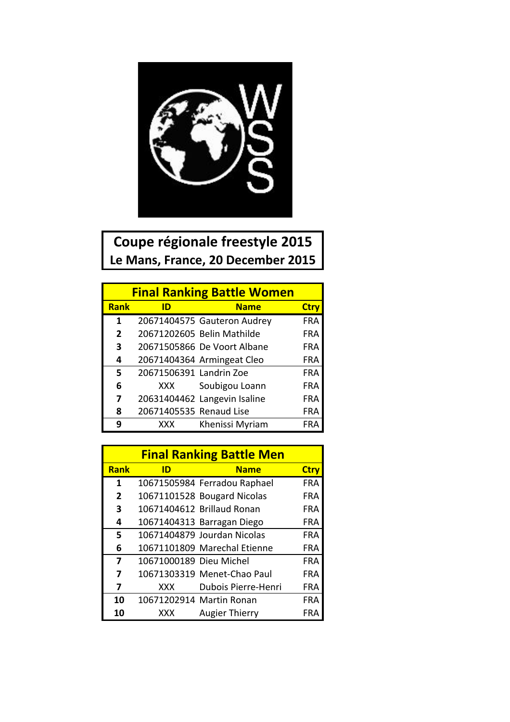

## **Coupe régionale freestyle 2015** Le Mans, France, 20 December 2015

| <b>Final Ranking Battle Women</b> |                         |                              |             |  |
|-----------------------------------|-------------------------|------------------------------|-------------|--|
| <b>Rank</b>                       | ID                      | <b>Name</b>                  | <b>Ctry</b> |  |
| 1                                 |                         | 20671404575 Gauteron Audrey  | <b>FRA</b>  |  |
| $\overline{2}$                    |                         | 20671202605 Belin Mathilde   | <b>FRA</b>  |  |
| 3                                 |                         | 20671505866 De Voort Albane  | <b>FRA</b>  |  |
| 4                                 |                         | 20671404364 Armingeat Cleo   | FRA         |  |
| 5                                 | 20671506391 Landrin Zoe |                              | <b>FRA</b>  |  |
| 6                                 | XXX                     | Soubigou Loann               | <b>FRA</b>  |  |
| 7                                 |                         | 20631404462 Langevin Isaline | <b>FRA</b>  |  |
| 8                                 | 20671405535 Renaud Lise |                              | FRA         |  |
| q                                 | XXX                     | Khenissi Myriam              | FRA         |  |

|                |                         | <b>Final Ranking Battle Men</b> |             |
|----------------|-------------------------|---------------------------------|-------------|
| <b>Rank</b>    | ID                      | <b>Name</b>                     | <b>Ctry</b> |
| 1              |                         | 10671505984 Ferradou Raphael    | <b>FRA</b>  |
| $\overline{2}$ |                         | 10671101528 Bougard Nicolas     | FRA         |
| 3              |                         | 10671404612 Brillaud Ronan      | FRA         |
| 4              |                         | 10671404313 Barragan Diego      | FRA         |
| 5              |                         | 10671404879 Jourdan Nicolas     | <b>FRA</b>  |
| 6              |                         | 10671101809 Marechal Etienne    | FRA         |
| 7              | 10671000189 Dieu Michel |                                 | FRA         |
| 7              |                         | 10671303319 Menet-Chao Paul     | FRA         |
| 7              | <b>XXX</b>              | Dubois Pierre-Henri             | FRA         |
| 10             |                         | 10671202914 Martin Ronan        | FRA         |
| 10             | XXX                     | <b>Augier Thierry</b>           | FR.         |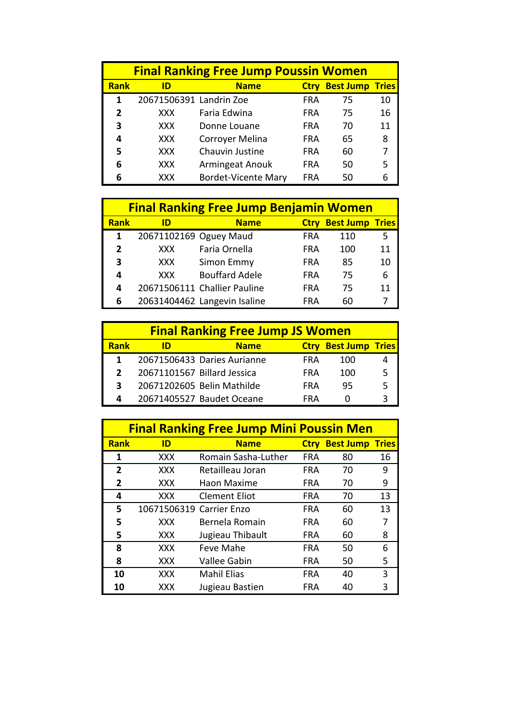| <b>Final Ranking Free Jump Poussin Women</b> |                         |                            |             |                  |              |
|----------------------------------------------|-------------------------|----------------------------|-------------|------------------|--------------|
| <b>Rank</b>                                  | ID                      | <b>Name</b>                | <b>Ctry</b> | <b>Best Jump</b> | <b>Tries</b> |
| 1                                            | 20671506391 Landrin Zoe |                            | <b>FRA</b>  | 75               | 10           |
| 2                                            | <b>XXX</b>              | Faria Edwina               | <b>FRA</b>  | 75               | 16           |
| 3                                            | <b>XXX</b>              | Donne Louane               | <b>FRA</b>  | 70               | 11           |
| 4                                            | XXX.                    | Corroyer Melina            | FRA         | 65               | 8            |
| 5                                            | <b>XXX</b>              | Chauvin Justine            | <b>FRA</b>  | 60               |              |
| 6                                            | XXX                     | Armingeat Anouk            | <b>FRA</b>  | 50               | 5            |
| 6                                            | XXX                     | <b>Bordet-Vicente Mary</b> | <b>FRA</b>  | 50               |              |

|              | <b>Final Ranking Free Jump Benjamin Women</b> |                              |             |                        |    |  |
|--------------|-----------------------------------------------|------------------------------|-------------|------------------------|----|--|
| <b>Rank</b>  | ID                                            | <b>Name</b>                  | <b>Ctrv</b> | <b>Best Jump Tries</b> |    |  |
| 1            | 20671102169 Oguey Maud                        |                              | <b>FRA</b>  | 110                    | 5  |  |
| $\mathbf{z}$ | <b>XXX</b>                                    | Faria Ornella                | <b>FRA</b>  | 100                    | 11 |  |
| 3            | <b>XXX</b>                                    | Simon Emmy                   | FRA         | 85                     | 10 |  |
| 4            | <b>XXX</b>                                    | <b>Bouffard Adele</b>        | <b>FRA</b>  | 75                     | 6  |  |
| 4            |                                               | 20671506111 Challier Pauline | <b>FRA</b>  | 75                     | 11 |  |
| 6            |                                               | 20631404462 Langevin Isaline | <b>FRA</b>  | 60                     |    |  |

|             |                             | <b>Final Ranking Free Jump JS Women</b> |             |                        |  |
|-------------|-----------------------------|-----------------------------------------|-------------|------------------------|--|
| <b>Rank</b> |                             | <b>Name</b>                             | <b>Ctry</b> | <b>Best Jump Tries</b> |  |
|             |                             | 20671506433 Daries Aurianne             | <b>FRA</b>  | 100                    |  |
|             | 20671101567 Billard Jessica |                                         | <b>FRA</b>  | 100                    |  |
| 3           |                             | 20671202605 Belin Mathilde              | <b>FRA</b>  | 95                     |  |
| 4           |                             | 20671405527 Baudet Oceane               | FRA         |                        |  |

|                | <b>Final Ranking Free Jump Mini Poussin Men</b> |                      |             |                  |              |  |
|----------------|-------------------------------------------------|----------------------|-------------|------------------|--------------|--|
| <b>Rank</b>    | ID                                              | <b>Name</b>          | <b>Ctry</b> | <b>Best Jump</b> | <b>Tries</b> |  |
| 1              | <b>XXX</b>                                      | Romain Sasha-Luther  | <b>FRA</b>  | 80               | 16           |  |
| $\overline{2}$ | <b>XXX</b>                                      | Retailleau Joran     | <b>FRA</b>  | 70               | 9            |  |
| 2              | XXX                                             | Haon Maxime          | <b>FRA</b>  | 70               | 9            |  |
| 4              | XXX                                             | <b>Clement Eliot</b> | <b>FRA</b>  | 70               | 13           |  |
| 5              | 10671506319 Carrier Enzo                        |                      | <b>FRA</b>  | 60               | 13           |  |
| 5              | <b>XXX</b>                                      | Bernela Romain       | <b>FRA</b>  | 60               | 7            |  |
| 5              | <b>XXX</b>                                      | Jugieau Thibault     | <b>FRA</b>  | 60               | 8            |  |
| 8              | <b>XXX</b>                                      | Feve Mahe            | <b>FRA</b>  | 50               | 6            |  |
| 8              | XXX                                             | <b>Vallee Gabin</b>  | <b>FRA</b>  | 50               | 5            |  |
| 10             | XXX                                             | <b>Mahil Elias</b>   | <b>FRA</b>  | 40               | 3            |  |
| 10             | XXX                                             | Jugieau Bastien      | <b>FRA</b>  | 40               | ς            |  |